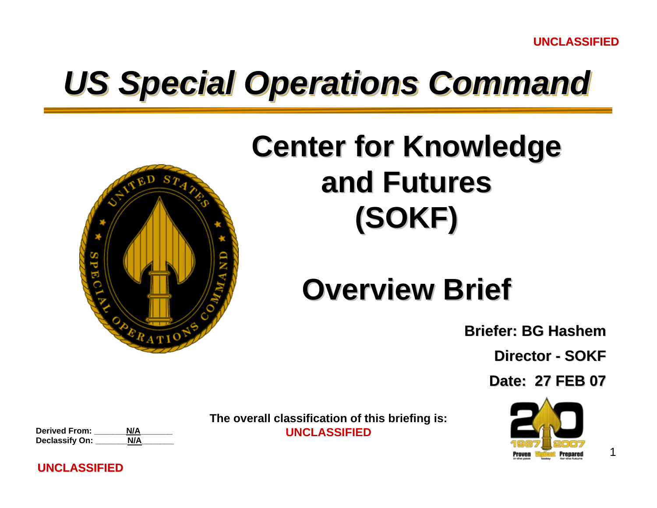# *US Special Operations Command US Special Operations Command*



## **Center for Knowledge and Futures and Futures(SOKF)**

## **Overview Brief Overview Brief**

**Briefer: BG Hashem**

**Director - SOKF** 

**Date: 27 FEB 07 Date: 27 FEB 07**



1

**The overall classification of this briefing is:** 

**Derived From: \_\_\_\_\_\_\_N/A\_\_\_\_\_\_\_ UNCLASSIFIEDDeclassify On:** 

#### **UNCLASSIFIED**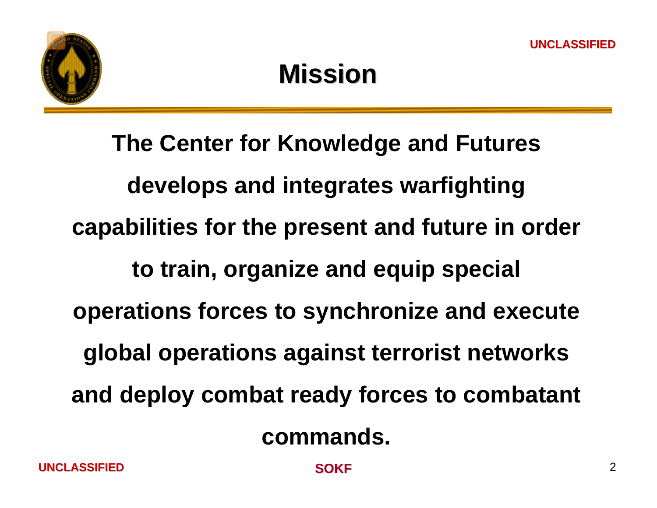

**The Center for Knowledge and Futures develops and integrates warfighting capabilities for the present and future in order to train, organize and equip special operations forces to synchronize and execute global operations against terrorist networks and deploy combat ready forces to combatant commands.** 

 **SOKF** $\mathsf F$  2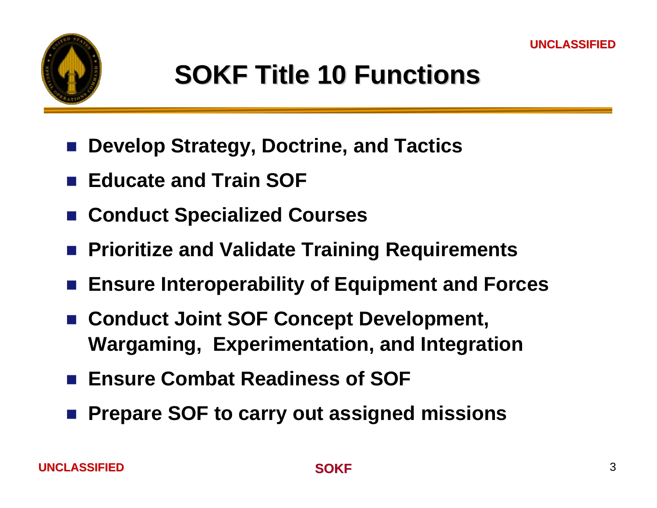

## **SOKF Title 10 Functions SOKF Title 10 Functions**

- $\frac{1}{2}$ **Develop Strategy, Doctrine, and Tactics**
- Educate and Train SOF
- **Conduct Specialized Courses**
- **Prioritize and Validate Training Requirements**
- **Ensure Interoperability of Equipment and Forces**
- Conduct Joint SOF Concept Development, **Wargaming, Experimentation, and Integration**
- Ensure Combat Readiness of SOF
- Prepare SOF to carry out assigned missions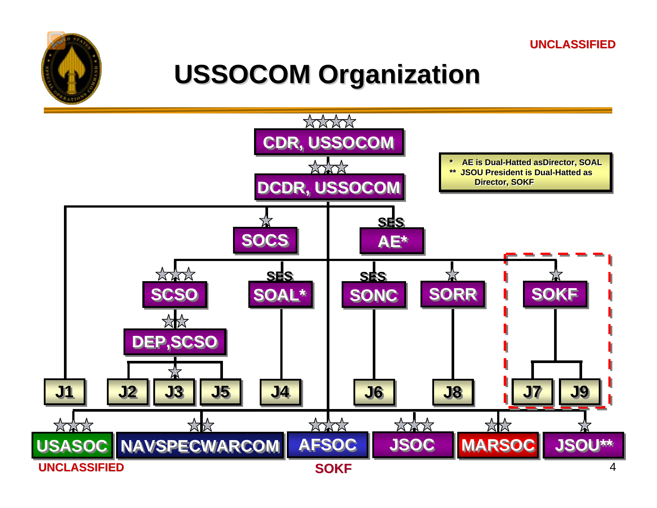

## **USSOCOM Organization USSOCOM Organization**

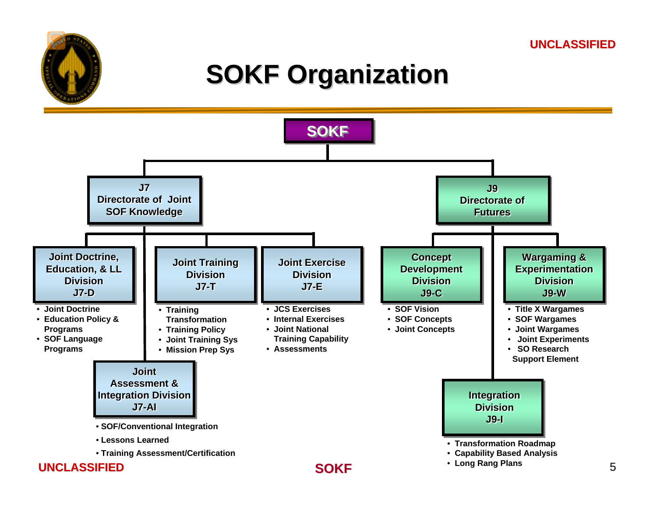## **SOKF Organization SOKF Organization**

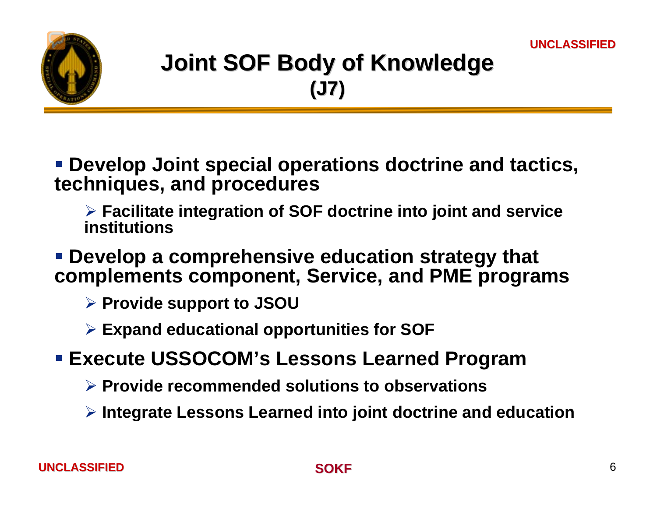

## **Joint SOF Body of Knowledge Joint SOF Body of Knowledge (J7)**

 **Develop Joint special operations doctrine and tactics, techniques, and procedures**

¾ **Facilitate integration of SOF doctrine into joint and service institutions**

 **Develop a comprehensive education strategy that complements component, Service, and PME programs**

- ¾ **Provide support to JSOU**
- ¾ **Expand educational opportunities for SOF**
- **Execute USSOCOM's Lessons Learned Program**
	- ¾ **Provide recommended solutions to observations**
	- ¾ **Integrate Lessons Learned into joint doctrine and education**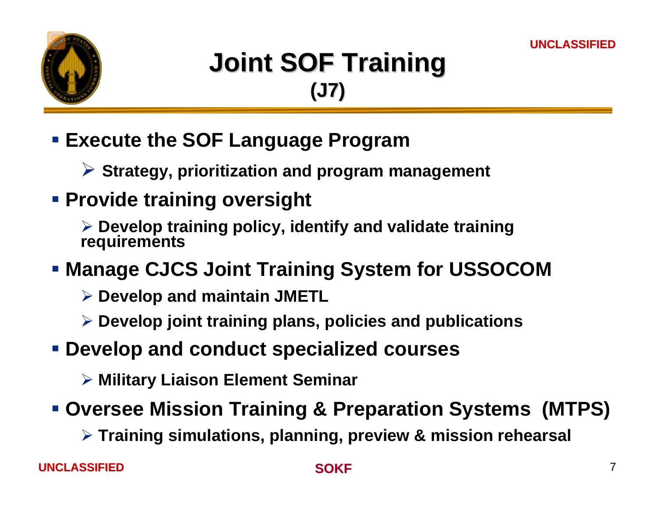

## **Joint SOF Training Joint SOF Training (J7)**

#### **Execute the SOF Language Program**

¾ **Strategy, prioritization and program management**

#### **Provide training oversight**

¾ **Develop training policy, identify and validate training requirements**

#### **Manage CJCS Joint Training System for USSOCOM**

- ¾ **Develop and maintain JMETL**
- ¾ **Develop joint training plans, policies and publications**
- **Develop and conduct specialized courses**
	- ¾ **Military Liaison Element Seminar**

#### **Oversee Mission Training & Preparation Systems (MTPS)**

¾ **Training simulations, planning, preview & mission rehearsal**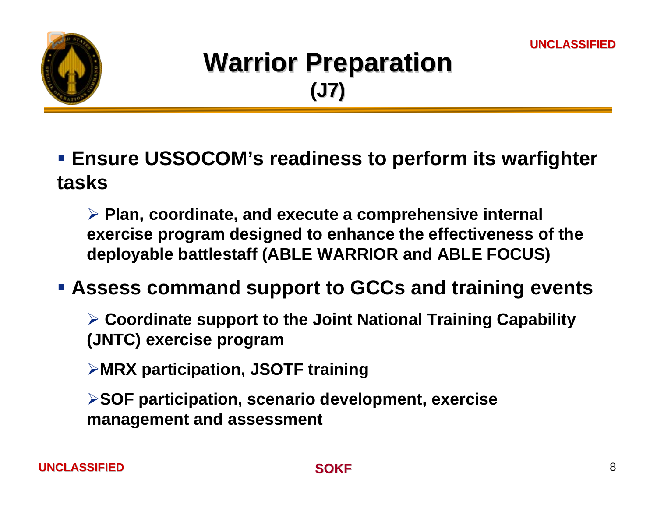

## **Warrior Preparation (J7)**

 **Ensure USSOCOM's readiness to perform its warfighter tasks**

¾ **Plan, coordinate, and execute a comprehensive internal exercise program designed to enhance the effectiveness of the deployable battlestaff (ABLE WARRIOR and ABLE FOCUS)**

**Assess command support to GCCs and training events** 

¾ **Coordinate support to the Joint National Training Capability (JNTC) exercise program**

¾**MRX participation, JSOTF training** 

¾**SOF participation, scenario development, exercise management and assessment**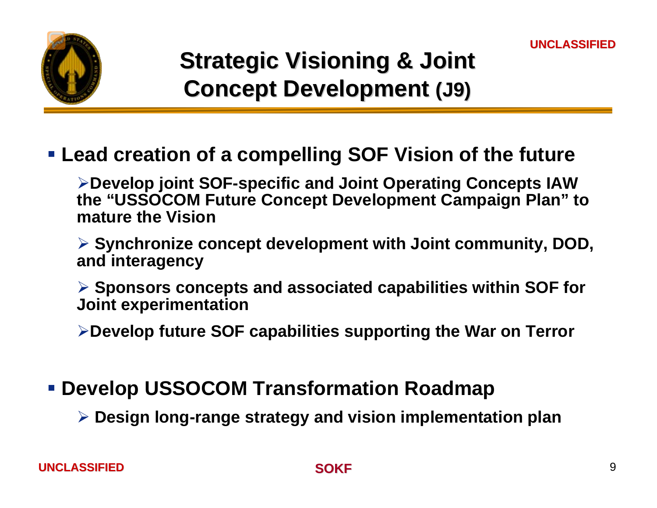

### **Strategic Visioning & Joint Concept Development Concept Development (J9)**

**Lead creation of a compelling SOF Vision of the future** 

¾**Develop joint SOF-specific and Joint Operating Concepts IAW the "USSOCOM Future Concept Development Campaign Plan" to mature the Vision**

¾ **Synchronize concept development with Joint community, DOD, and interagency**

¾ **Sponsors concepts and associated capabilities within SOF for Joint experimentation**

¾**Develop future SOF capabilities supporting the War on Terror**

#### **Develop USSOCOM Transformation Roadmap**

¾ **Design long-range strategy and vision implementation plan**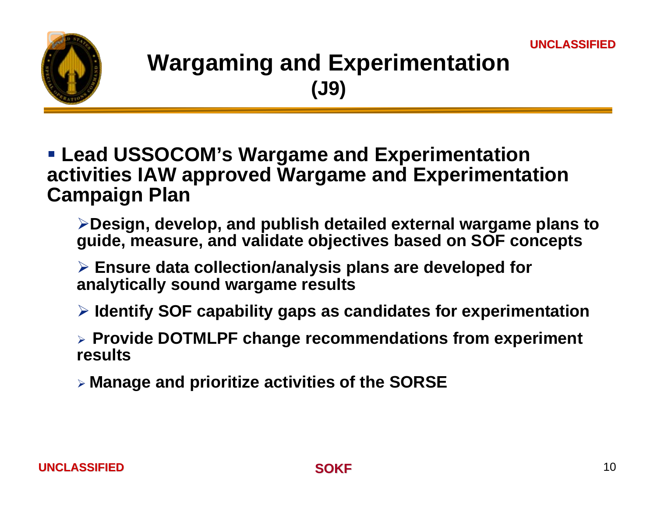

### **Wargaming and Experimentation (J9)**

- **Lead USSOCOM's Wargame and Experimentation activities IAW approved Wargame and Experimentation Campaign Plan**
	- ¾**Design, develop, and publish detailed external wargame plans to guide, measure, and validate objectives based on SOF concepts**
	- ¾ **Ensure data collection/analysis plans are developed for analytically sound wargame results**
	- ¾ **Identify SOF capability gaps as candidates for experimentation**
	- ¾ **Provide DOTMLPF change recommendations from experiment results**
	- ¾ **Manage and prioritize activities of the SORSE**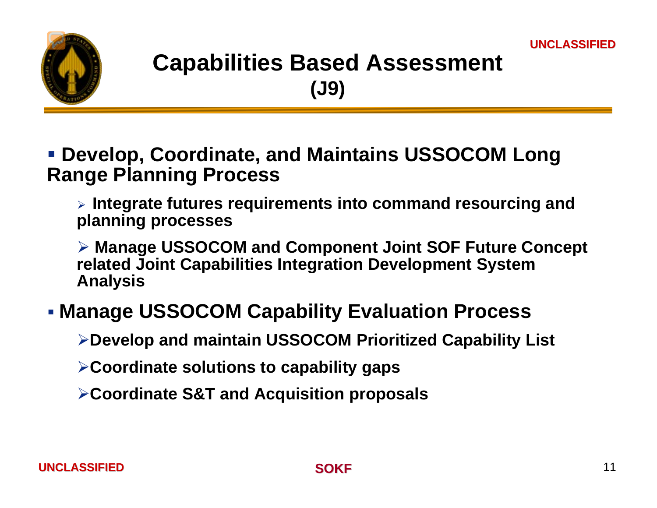

#### **Capabilities Based Assessment (J9)**

#### **Develop, Coordinate, and Maintains USSOCOM Long Range Planning Process**

¾ **Integrate futures requirements into command resourcing and planning processes**

¾ **Manage USSOCOM and Component Joint SOF Future Concept related Joint Capabilities Integration Development System Analysis**

#### **Manage USSOCOM Capability Evaluation Process**

¾**Develop and maintain USSOCOM Prioritized Capability List**

¾**Coordinate solutions to capability gaps**

¾**Coordinate S&T and Acquisition proposals**